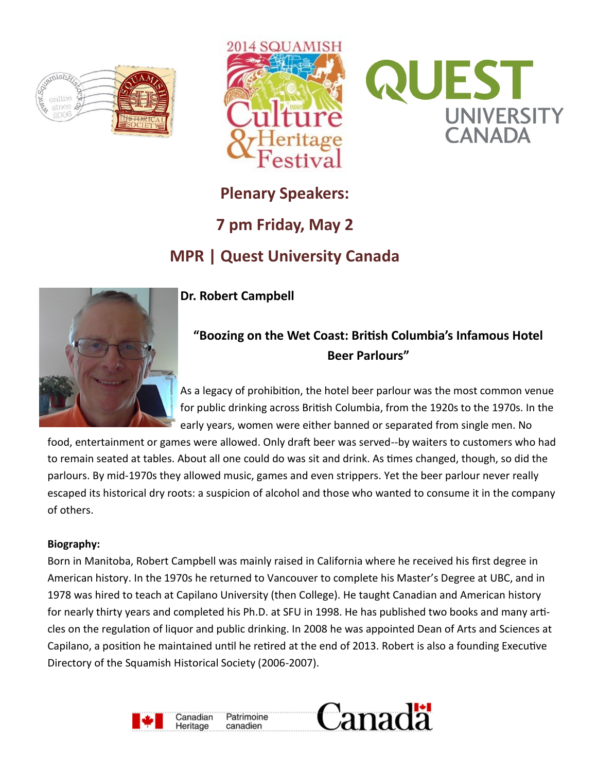





# **Plenary Speakers: 7 pm Friday, May 2 MPR | Quest University Canada**



## **Dr. Robert Campbell**

# **"Boozing on the Wet Coast: British Columbia's Infamous Hotel Beer Parlours"**

As a legacy of prohibition, the hotel beer parlour was the most common venue for public drinking across British Columbia, from the 1920s to the 1970s. In the early years, women were either banned or separated from single men. No

food, entertainment or games were allowed. Only draft beer was served--by waiters to customers who had to remain seated at tables. About all one could do was sit and drink. As times changed, though, so did the parlours. By mid-1970s they allowed music, games and even strippers. Yet the beer parlour never really escaped its historical dry roots: a suspicion of alcohol and those who wanted to consume it in the company of others.

#### **Biography:**

Born in Manitoba, Robert Campbell was mainly raised in California where he received his first degree in American history. In the 1970s he returned to Vancouver to complete his Master's Degree at UBC, and in 1978 was hired to teach at Capilano University (then College). He taught Canadian and American history for nearly thirty years and completed his Ph.D. at SFU in 1998. He has published two books and many articles on the regulation of liquor and public drinking. In 2008 he was appointed Dean of Arts and Sciences at Capilano, a position he maintained until he retired at the end of 2013. Robert is also a founding Executive Directory of the Squamish Historical Society (2006-2007).

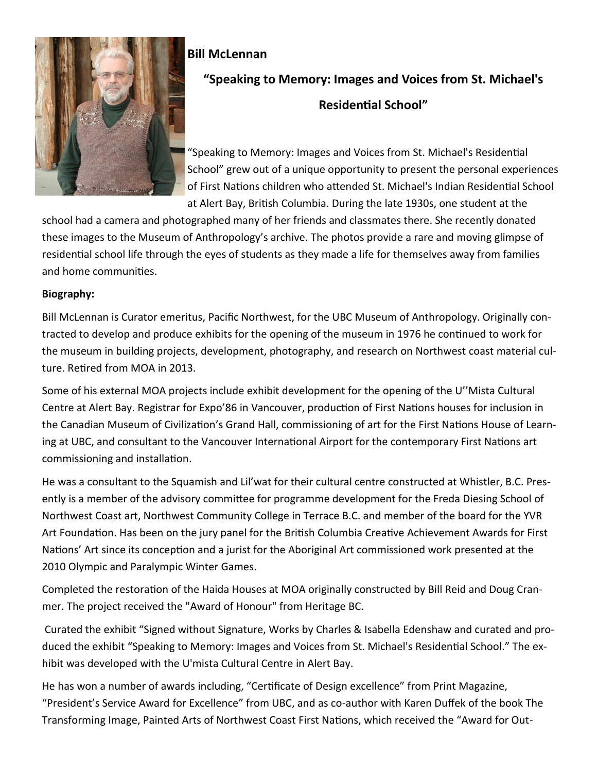

### **Bill McLennan**

# **"Speaking to Memory: Images and Voices from St. Michael's Residential School"**

"Speaking to Memory: Images and Voices from St. Michael's Residential School" grew out of a unique opportunity to present the personal experiences of First Nations children who attended St. Michael's Indian Residential School at Alert Bay, British Columbia. During the late 1930s, one student at the

school had a camera and photographed many of her friends and classmates there. She recently donated these images to the Museum of Anthropology's archive. The photos provide a rare and moving glimpse of residential school life through the eyes of students as they made a life for themselves away from families and home communities.

#### **Biography:**

Bill McLennan is Curator emeritus, Pacific Northwest, for the UBC Museum of Anthropology. Originally contracted to develop and produce exhibits for the opening of the museum in 1976 he continued to work for the museum in building projects, development, photography, and research on Northwest coast material culture. Retired from MOA in 2013.

Some of his external MOA projects include exhibit development for the opening of the U''Mista Cultural Centre at Alert Bay. Registrar for Expo'86 in Vancouver, production of First Nations houses for inclusion in the Canadian Museum of Civilization's Grand Hall, commissioning of art for the First Nations House of Learning at UBC, and consultant to the Vancouver International Airport for the contemporary First Nations art commissioning and installation.

He was a consultant to the Squamish and Lil'wat for their cultural centre constructed at Whistler, B.C. Presently is a member of the advisory committee for programme development for the Freda Diesing School of Northwest Coast art, Northwest Community College in Terrace B.C. and member of the board for the YVR Art Foundation. Has been on the jury panel for the British Columbia Creative Achievement Awards for First Nations' Art since its conception and a jurist for the Aboriginal Art commissioned work presented at the 2010 Olympic and Paralympic Winter Games.

Completed the restoration of the Haida Houses at MOA originally constructed by Bill Reid and Doug Cranmer. The project received the "Award of Honour" from Heritage BC.

Curated the exhibit "Signed without Signature, Works by Charles & Isabella Edenshaw and curated and produced the exhibit "Speaking to Memory: Images and Voices from St. Michael's Residential School." The exhibit was developed with the U'mista Cultural Centre in Alert Bay.

He has won a number of awards including, "Certificate of Design excellence" from Print Magazine, "President's Service Award for Excellence" from UBC, and as co-author with Karen Duffek of the book The Transforming Image, Painted Arts of Northwest Coast First Nations, which received the "Award for Out